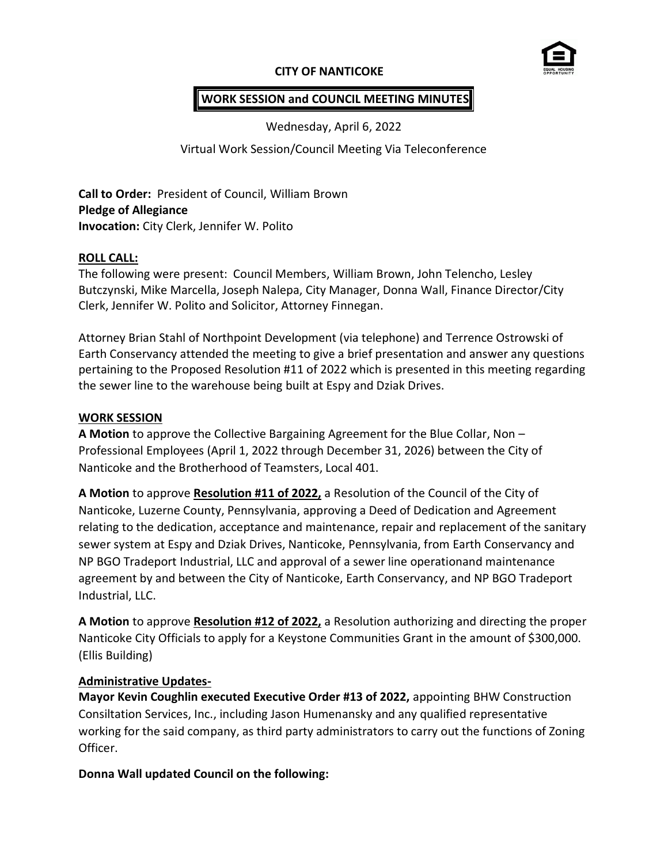## **CITY OF NANTICOKE**



## **WORK SESSION and COUNCIL MEETING MINUTES**

Wednesday, April 6, 2022

### Virtual Work Session/Council Meeting Via Teleconference

**Call to Order:** President of Council, William Brown **Pledge of Allegiance Invocation:** City Clerk, Jennifer W. Polito

#### **ROLL CALL:**

The following were present: Council Members, William Brown, John Telencho, Lesley Butczynski, Mike Marcella, Joseph Nalepa, City Manager, Donna Wall, Finance Director/City Clerk, Jennifer W. Polito and Solicitor, Attorney Finnegan.

Attorney Brian Stahl of Northpoint Development (via telephone) and Terrence Ostrowski of Earth Conservancy attended the meeting to give a brief presentation and answer any questions pertaining to the Proposed Resolution #11 of 2022 which is presented in this meeting regarding the sewer line to the warehouse being built at Espy and Dziak Drives.

#### **WORK SESSION**

**A Motion** to approve the Collective Bargaining Agreement for the Blue Collar, Non – Professional Employees (April 1, 2022 through December 31, 2026) between the City of Nanticoke and the Brotherhood of Teamsters, Local 401.

**A Motion** to approve **Resolution #11 of 2022,** a Resolution of the Council of the City of Nanticoke, Luzerne County, Pennsylvania, approving a Deed of Dedication and Agreement relating to the dedication, acceptance and maintenance, repair and replacement of the sanitary sewer system at Espy and Dziak Drives, Nanticoke, Pennsylvania, from Earth Conservancy and NP BGO Tradeport Industrial, LLC and approval of a sewer line operationand maintenance agreement by and between the City of Nanticoke, Earth Conservancy, and NP BGO Tradeport Industrial, LLC.

**A Motion** to approve **Resolution #12 of 2022,** a Resolution authorizing and directing the proper Nanticoke City Officials to apply for a Keystone Communities Grant in the amount of \$300,000. (Ellis Building)

### **Administrative Updates-**

**Mayor Kevin Coughlin executed Executive Order #13 of 2022,** appointing BHW Construction Consiltation Services, Inc., including Jason Humenansky and any qualified representative working for the said company, as third party administrators to carry out the functions of Zoning Officer.

**Donna Wall updated Council on the following:**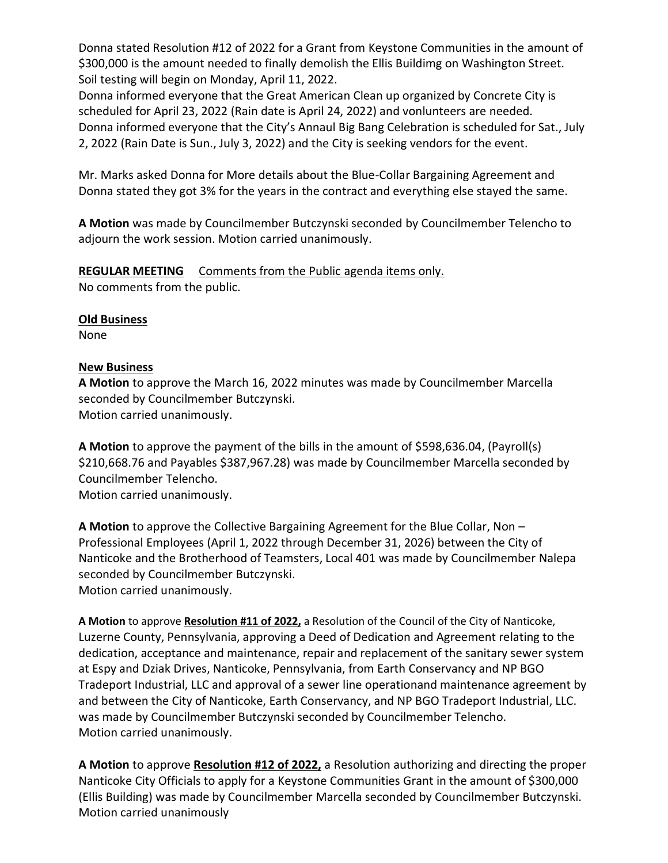Donna stated Resolution #12 of 2022 for a Grant from Keystone Communities in the amount of \$300,000 is the amount needed to finally demolish the Ellis Buildimg on Washington Street. Soil testing will begin on Monday, April 11, 2022.

Donna informed everyone that the Great American Clean up organized by Concrete City is scheduled for April 23, 2022 (Rain date is April 24, 2022) and vonlunteers are needed. Donna informed everyone that the City's Annaul Big Bang Celebration is scheduled for Sat., July 2, 2022 (Rain Date is Sun., July 3, 2022) and the City is seeking vendors for the event.

Mr. Marks asked Donna for More details about the Blue-Collar Bargaining Agreement and Donna stated they got 3% for the years in the contract and everything else stayed the same.

**A Motion** was made by Councilmember Butczynski seconded by Councilmember Telencho to adjourn the work session. Motion carried unanimously.

**REGULAR MEETING** Comments from the Public agenda items only. No comments from the public.

#### **Old Business**

None

#### **New Business**

**A Motion** to approve the March 16, 2022 minutes was made by Councilmember Marcella seconded by Councilmember Butczynski. Motion carried unanimously.

**A Motion** to approve the payment of the bills in the amount of \$598,636.04, (Payroll(s) \$210,668.76 and Payables \$387,967.28) was made by Councilmember Marcella seconded by Councilmember Telencho.

Motion carried unanimously.

**A Motion** to approve the Collective Bargaining Agreement for the Blue Collar, Non – Professional Employees (April 1, 2022 through December 31, 2026) between the City of Nanticoke and the Brotherhood of Teamsters, Local 401 was made by Councilmember Nalepa seconded by Councilmember Butczynski. Motion carried unanimously.

**A Motion** to approve **Resolution #11 of 2022,** a Resolution of the Council of the City of Nanticoke, Luzerne County, Pennsylvania, approving a Deed of Dedication and Agreement relating to the dedication, acceptance and maintenance, repair and replacement of the sanitary sewer system at Espy and Dziak Drives, Nanticoke, Pennsylvania, from Earth Conservancy and NP BGO Tradeport Industrial, LLC and approval of a sewer line operationand maintenance agreement by and between the City of Nanticoke, Earth Conservancy, and NP BGO Tradeport Industrial, LLC. was made by Councilmember Butczynski seconded by Councilmember Telencho. Motion carried unanimously.

**A Motion** to approve **Resolution #12 of 2022,** a Resolution authorizing and directing the proper Nanticoke City Officials to apply for a Keystone Communities Grant in the amount of \$300,000 (Ellis Building) was made by Councilmember Marcella seconded by Councilmember Butczynski. Motion carried unanimously